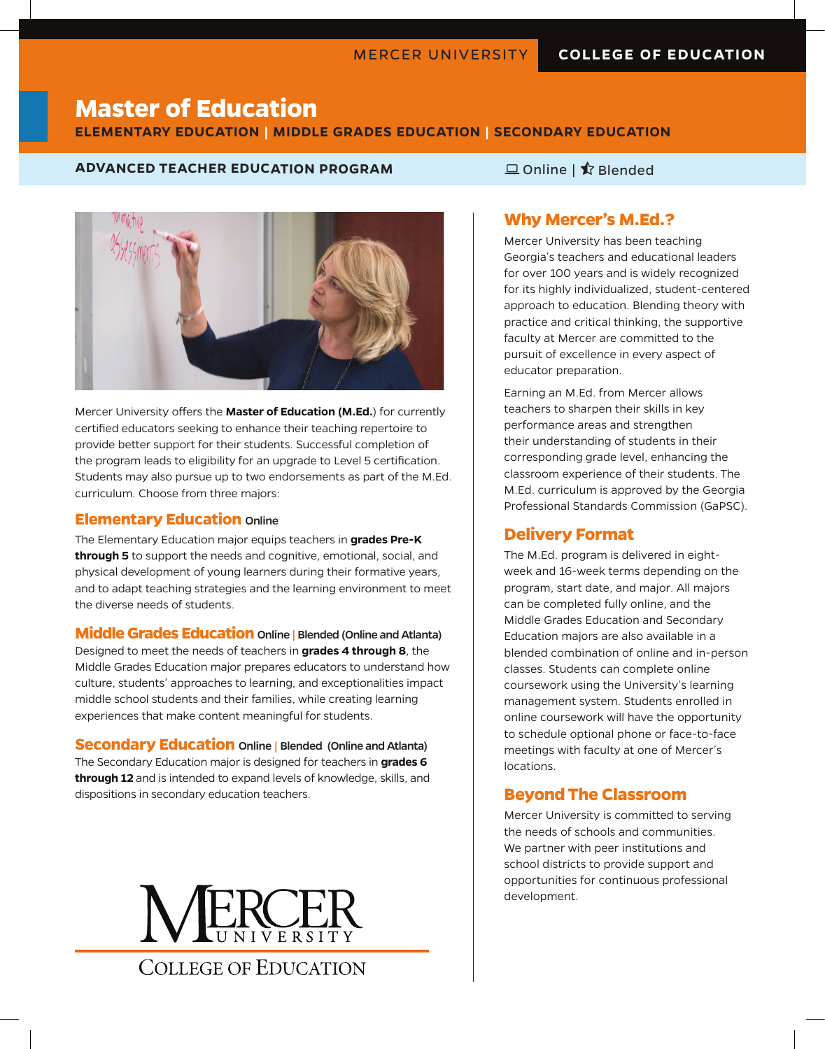# **Master of Education**

#### **ELEMENTARY EDUCATION | MIDDLE GRADES EDUCATION | SECONDARY EDUCATION**

#### **ADVANCED TEACHER EDUCATION PROGRAM DESCRIPTION OF A Blended**



Mercer University offers the **Master of Education (M.Ed.**) for currently certified educators seeking to enhance their teaching repertoire to provide better support for their students. Successful completion of the program leads to eligibility for an upgrade to Level 5 certification. Students may also pursue up to two endorsements as part of the M.Ed. curriculum. Choose from three majors:

#### **Elementary Education** Online

The Elementary Education major equips teachers in **grades Pre-K through 5** to support the needs and cognitive, emotional, social, and physical development of young learners during their formative years, and to adapt teaching strategies and the learning environment to meet the diverse needs of students.

**Middle Grades Education** Online | Blended (Online and Atlanta) Designed to meet the needs of teachers in **grades 4 through 8**, the Middle Grades Education major prepares educators to understand how culture, students' approaches to learning, and exceptionalities impact middle school students and their families, while creating learning experiences that make content meaningful for students.

**Secondary Education** Online | Blended (Online and Atlanta) The Secondary Education major is designed for teachers in **grades 6 through 12** and is intended to expand levels of knowledge, skills, and dispositions in secondary education teachers.



#### **Why Mercer's M.Ed.?**

Mercer University has been teaching Georgia's teachers and educational leaders for over 100 years and is widely recognized for its highly individualized, student-centered approach to education. Blending theory with practice and critical thinking, the supportive faculty at Mercer are committed to the pursuit of excellence in every aspect of educator preparation.

Earning an M.Ed. from Mercer allows teachers to sharpen their skills in key performance areas and strengthen their understanding of students in their corresponding grade level, enhancing the classroom experience of their students. The M.Ed. curriculum is approved by the Georgia Professional Standards Commission (GaPSC).

#### **Delivery Format**

The M.Ed. program is delivered in eightweek and 16-week terms depending on the program, start date, and major. All majors can be completed fully online, and the Middle Grades Education and Secondary Education majors are also available in a blended combination of online and in-person classes. Students can complete online coursework using the University's learning management system. Students enrolled in online coursework will have the opportunity to schedule optional phone or face-to-face meetings with faculty at one of Mercer's locations.

#### **Beyond The Classroom**

Mercer University is committed to serving the needs of schools and communities. We partner with peer institutions and school districts to provide support and opportunities for continuous professional development.